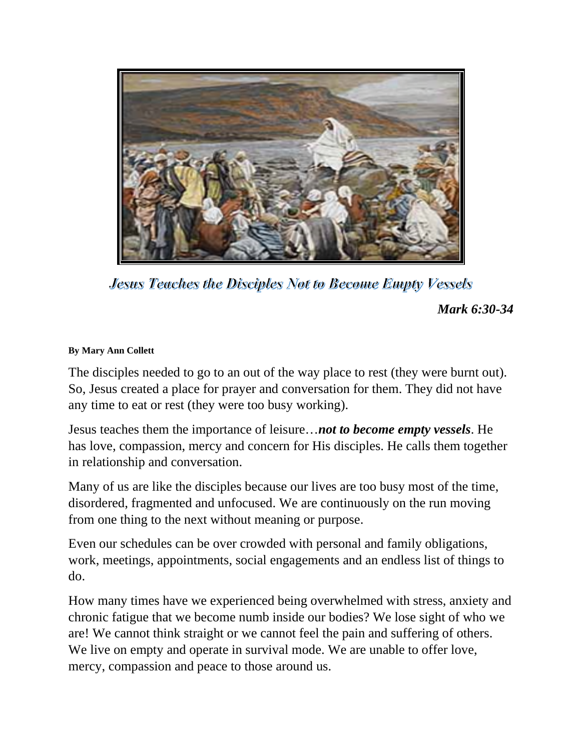

**Jesus Teaches the Disciples Not to Become Empty Vessels** 

*Mark 6:30-34*

## **By Mary Ann Collett**

The disciples needed to go to an out of the way place to rest (they were burnt out). So, Jesus created a place for prayer and conversation for them. They did not have any time to eat or rest (they were too busy working).

Jesus teaches them the importance of leisure…*not to become empty vessels*. He has love, compassion, mercy and concern for His disciples. He calls them together in relationship and conversation.

Many of us are like the disciples because our lives are too busy most of the time, disordered, fragmented and unfocused. We are continuously on the run moving from one thing to the next without meaning or purpose.

Even our schedules can be over crowded with personal and family obligations, work, meetings, appointments, social engagements and an endless list of things to do.

How many times have we experienced being overwhelmed with stress, anxiety and chronic fatigue that we become numb inside our bodies? We lose sight of who we are! We cannot think straight or we cannot feel the pain and suffering of others. We live on empty and operate in survival mode. We are unable to offer love, mercy, compassion and peace to those around us.